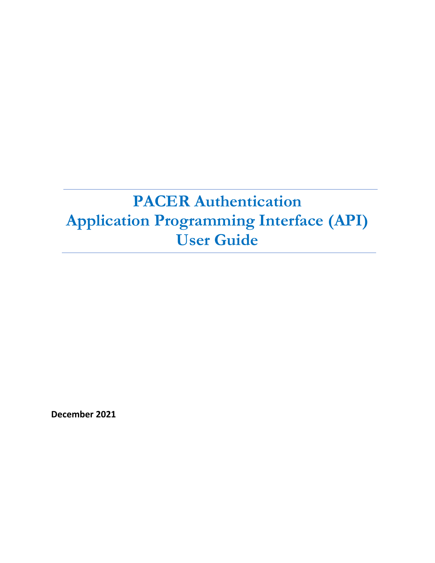# **PACER Authentication Application Programming Interface (API) User Guide**

**December 2021**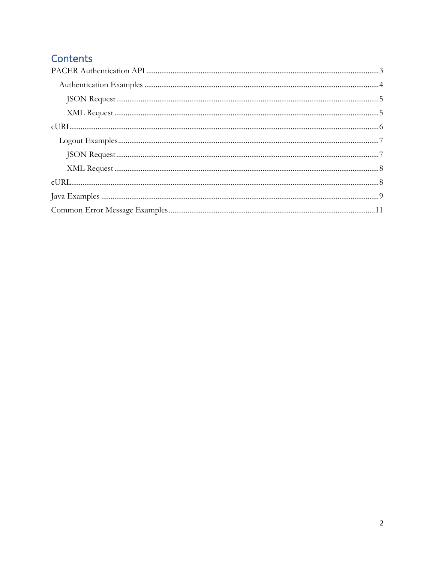# Contents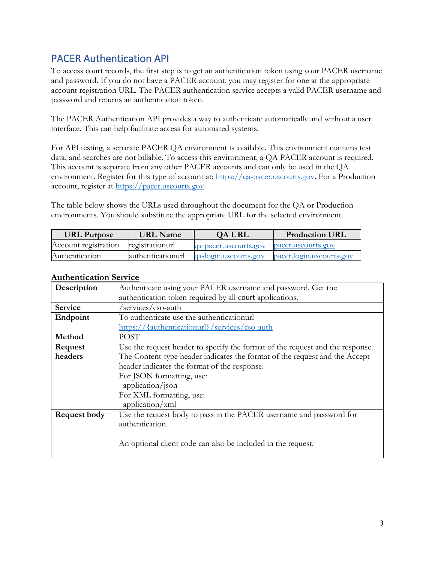# <span id="page-2-0"></span>PACER Authentication API

To access court records, the first step is to get an authentication token using your PACER username and password. If you do not have a PACER account, you may register for one at the appropriate account registration URL. The PACER authentication service accepts a valid PACER username and password and returns an authentication token.

The PACER Authentication API provides a way to authenticate automatically and without a user interface. This can help facilitate access for automated systems.

For API testing, a separate PACER QA environment is available. This environment contains test data, and searches are not billable. To access this environment, a QA PACER account is required. This account is separate from any other PACER accounts and can only be used in the QA environment. Register for this type of account at: [https://qa-pacer.uscourts.gov.](https://qa-pacer.uscourts.gov/) For a Production account, register at [https://pacer.uscourts.gov.](https://pacer.uscourts.gov/)

The table below shows the URLs used throughout the document for the QA or Production environments. You should substitute the appropriate URL for the selected environment.

| <b>URL Purpose</b>   | URL Name          | QA URL                | <b>Production URL</b>    |
|----------------------|-------------------|-----------------------|--------------------------|
| Account registration | registrationurl   | qa-pacer.uscourts.gov | pacer.uscourts.gov       |
| Authentication       | authenticationurl | qa-login.uscourts.gov | pacer.login.uscourts.gov |

| Description         | Authenticate using your PACER username and password. Get the                  |
|---------------------|-------------------------------------------------------------------------------|
|                     | authentication token required by all court applications.                      |
| <b>Service</b>      | 'services/cso-auth                                                            |
| Endpoint            | To authenticate use the authenticationurl                                     |
|                     | https://{authenticationurl}/services/cso-auth                                 |
| Method              | <b>POST</b>                                                                   |
| Request             | Use the request header to specify the format of the request and the response. |
| headers             | The Content-type header indicates the format of the request and the Accept    |
|                     | header indicates the format of the response.                                  |
|                     | For JSON formatting, use:                                                     |
|                     | application/json                                                              |
|                     | For XML formatting, use:                                                      |
|                     | application/xml                                                               |
| <b>Request body</b> | Use the request body to pass in the PACER username and password for           |
|                     | authentication.                                                               |
|                     | An optional client code can also be included in the request.                  |

## **Authentication Service**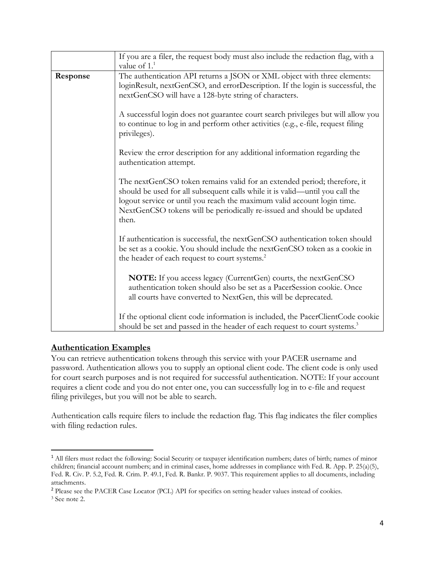|          | If you are a filer, the request body must also include the redaction flag, with a<br>value of $11$                                                                                                                                                                                                                     |
|----------|------------------------------------------------------------------------------------------------------------------------------------------------------------------------------------------------------------------------------------------------------------------------------------------------------------------------|
| Response | The authentication API returns a JSON or XML object with three elements:<br>loginResult, nextGenCSO, and errorDescription. If the login is successful, the<br>nextGenCSO will have a 128-byte string of characters.                                                                                                    |
|          | A successful login does not guarantee court search privileges but will allow you<br>to continue to log in and perform other activities (e.g., e-file, request filing<br>privileges).                                                                                                                                   |
|          | Review the error description for any additional information regarding the<br>authentication attempt.                                                                                                                                                                                                                   |
|          | The nextGenCSO token remains valid for an extended period; therefore, it<br>should be used for all subsequent calls while it is valid—until you call the<br>logout service or until you reach the maximum valid account login time.<br>NextGenCSO tokens will be periodically re-issued and should be updated<br>then. |
|          | If authentication is successful, the nextGenCSO authentication token should<br>be set as a cookie. You should include the nextGenCSO token as a cookie in<br>the header of each request to court systems. <sup>2</sup>                                                                                                 |
|          | <b>NOTE:</b> If you access legacy (CurrentGen) courts, the nextGenCSO<br>authentication token should also be set as a PacerSession cookie. Once<br>all courts have converted to NextGen, this will be deprecated.                                                                                                      |
|          | If the optional client code information is included, the PacerClientCode cookie<br>should be set and passed in the header of each request to court systems. <sup>3</sup>                                                                                                                                               |

## <span id="page-3-0"></span>**Authentication Examples**

You can retrieve authentication tokens through this service with your PACER username and password. Authentication allows you to supply an optional client code. The client code is only used for court search purposes and is not required for successful authentication. NOTE: If your account requires a client code and you do not enter one, you can successfully log in to e-file and request filing privileges, but you will not be able to search.

Authentication calls require filers to include the redaction flag. This flag indicates the filer complies with filing redaction rules.

<sup>2</sup> Please see the PACER Case Locator (PCL) API for specifics on setting header values instead of cookies.

<sup>&</sup>lt;sup>1</sup> All filers must redact the following: Social Security or taxpayer identification numbers; dates of birth; names of minor children; financial account numbers; and in criminal cases, home addresses in compliance with Fed. R. App. P. 25(a)(5), Fed. R. Civ. P. 5.2, Fed. R. Crim. P. 49.1, Fed. R. Bankr. P. 9037. This requirement applies to all documents, including attachments.

<sup>3</sup> See note 2.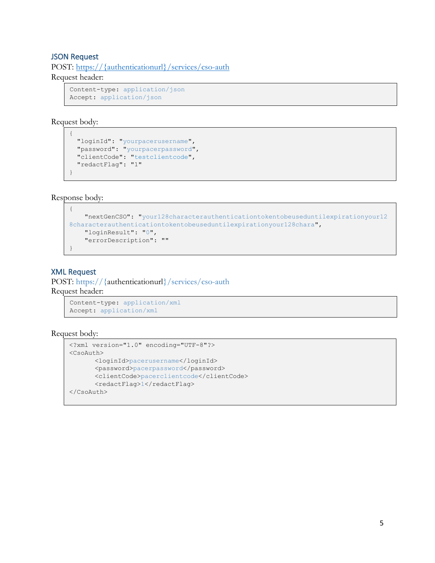## <span id="page-4-0"></span>JSON Request

POST: https://{authenticationurl}/services/cso-auth Request header:

Content-type: application/json Accept: application/json

Request body: {

```
 "loginId": "yourpacerusername",
 "password": "yourpacerpassword",
  "clientCode": "testclientcode",
  "redactFlag": "1"
```
Response body:

}

```
{
     "nextGenCSO": "your128characterauthenticationtokentobeuseduntilexpirationyour12
8characterauthenticationtokentobeuseduntilexpirationyour128chara",
     "loginResult": "0",
     "errorDescription": ""
}
```
## <span id="page-4-1"></span>XML Request

POST: https://{authenticationurl}/services/cso-auth Request header:

```
Content-type: application/xml
Accept: application/xml
```
#### Request body:

```
<?xml version="1.0" encoding="UTF-8"?>
<CsoAuth>
      <loginId>pacerusername</loginId>
      <password>pacerpassword</password>
      <clientCode>pacerclientcode</clientCode>
      <redactFlag>1</redactFlag>
</CsoAuth>
```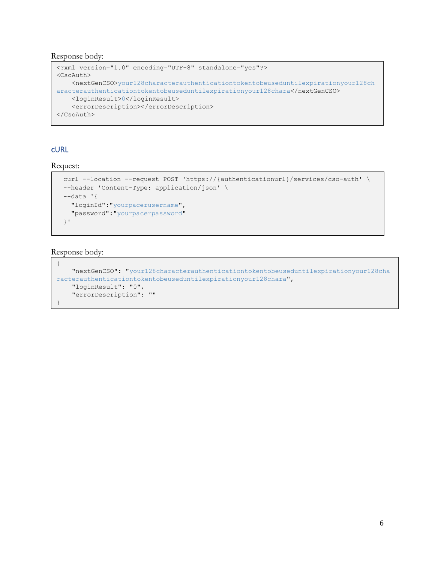Response body:

```
<?xml version="1.0" encoding="UTF-8" standalone="yes"?>
<CsoAuth>
    <nextGenCSO>your128characterauthenticationtokentobeuseduntilexpirationyour128ch
aracterauthenticationtokentobeuseduntilexpirationyour128chara</nextGenCSO>
    <loginResult>0</loginResult>
    <errorDescription></errorDescription>
</CsoAuth>
```
## <span id="page-5-0"></span>cURL

Request:

```
curl --location --request POST 'https://{authenticationurl}/services/cso-auth' \
--header 'Content-Type: application/json' \
--data '{
  "loginId":"yourpacerusername",
   "password":"yourpacerpassword"
}'
```
## Response body:

```
{
     "nextGenCSO": "your128characterauthenticationtokentobeuseduntilexpirationyour128cha
racterauthenticationtokentobeuseduntilexpirationyour128chara",
    "loginResult": "0",
     "errorDescription": ""
}
```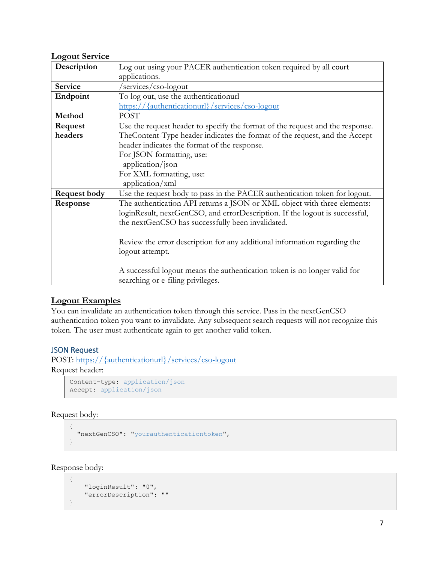| <b>Logout Service</b> |                                                                               |
|-----------------------|-------------------------------------------------------------------------------|
| Description           | Log out using your PACER authentication token required by all court           |
|                       | applications.                                                                 |
| Service               | /services/cso-logout                                                          |
| Endpoint              | To log out, use the authenticationurl                                         |
|                       | https://{authenticationurl}/services/cso-logout                               |
| Method                | <b>POST</b>                                                                   |
| Request               | Use the request header to specify the format of the request and the response. |
| headers               | The Content-Type header indicates the format of the request, and the Accept   |
|                       | header indicates the format of the response.                                  |
|                       | For JSON formatting, use:                                                     |
|                       | application/json                                                              |
|                       | For XML formatting, use:                                                      |
|                       | application/xml                                                               |
| <b>Request body</b>   | Use the request body to pass in the PACER authentication token for logout.    |
| Response              | The authentication API returns a JSON or XML object with three elements:      |
|                       | loginResult, nextGenCSO, and errorDescription. If the logout is successful,   |
|                       | the nextGenCSO has successfully been invalidated.                             |
|                       |                                                                               |
|                       | Review the error description for any additional information regarding the     |
|                       | logout attempt.                                                               |
|                       |                                                                               |
|                       | A successful logout means the authentication token is no longer valid for     |
|                       | searching or e-filing privileges.                                             |

## <span id="page-6-0"></span>**Logout Examples**

You can invalidate an authentication token through this service. Pass in the nextGenCSO authentication token you want to invalidate. Any subsequent search requests will not recognize this token. The user must authenticate again to get another valid token.

## <span id="page-6-1"></span>JSON Request

POST: https://{authenticationurl}/services/cso-logout Request header:

```
Content-type: application/json
Accept: application/json
```
Request body:

```
{
   "nextGenCSO": "yourauthenticationtoken",
}
```
Response body:

```
{
     "loginResult": "0",
     "errorDescription": ""
}
```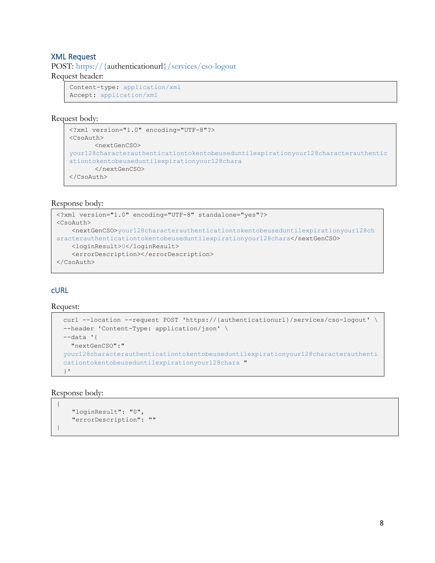## <span id="page-7-0"></span>XML Request

POST: https://{authenticationurl}/services/cso-logout Request header:

```
Content-type: application/xml
Accept: application/xml
```
#### Request body:

```
<?xml version="1.0" encoding="UTF-8"?>
<CsoAuth>
      <nextGenCSO>
your128characterauthenticationtokentobeuseduntilexpirationyour128characterauthentic
ationtokentobeuseduntilexpirationyour128chara
      </nextGenCSO>
</CsoAuth>
```
## Response body:

```
<?xml version="1.0" encoding="UTF-8" standalone="yes"?>
<CsoAuth>
    <nextGenCSO>your128characterauthenticationtokentobeuseduntilexpirationyour128ch
aracterauthenticationtokentobeuseduntilexpirationyour128chara</nextGenCSO>
    <loginResult>0</loginResult>
    <errorDescription></errorDescription>
</CsoAuth>
```
## <span id="page-7-1"></span>cURL

Request:

```
curl --location --request POST 'https://{authenticationurl}/services/cso-logout' \
--header 'Content-Type: application/json' \
--data '{
  "nextGenCSO":"
your128characterauthenticationtokentobeuseduntilexpirationyour128characterauthenti
cationtokentobeuseduntilexpirationyour128chara "
}'
```
## Response body:

```
{
     "loginResult": "0",
     "errorDescription": ""
}
```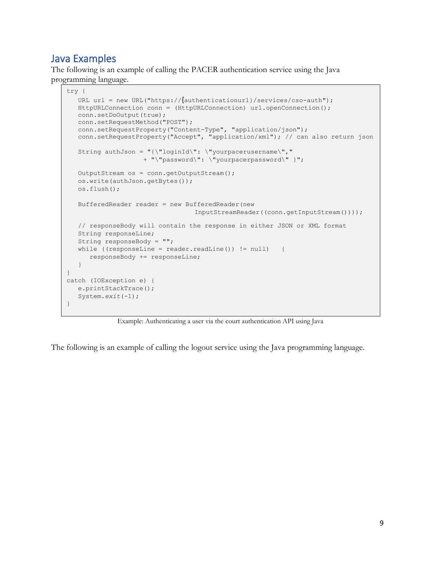# <span id="page-8-0"></span>Java Examples

The following is an example of calling the PACER authentication service using the Java programming language.

```
try {
   URL url = new URL("https://{authenticationurl}/services/cso-auth");
   HttpURLConnection conn = (HttpURLConnection) url.openConnection();
   conn.setDoOutput(true);
   conn.setRequestMethod("POST");
   conn.setRequestProperty("Content-Type", "application/json");
   conn.setRequestProperty("Accept", "application/xml"); // can also return json
  String authJson = "\{\Psi\}. \"yourpacerusername\","
                    + "\"password\": \"yourpacerpassword\" }";
   OutputStream os = conn.getOutputStream();
   os.write(authJson.getBytes());
   os.flush();
   BufferedReader reader = new BufferedReader(new
                                 InputStreamReader((conn.getInputStream())));
    // responseBody will contain the response in either JSON or XML format
   String responseLine;
   String responseBody = "";
  while ((responseLine = reader.readLine()) != null {
       responseBody += responseLine;
 }
}
catch (IOException e) {
    e.printStackTrace();
    System.exit(-1);
}
```
Example: Authenticating a user via the court authentication API using Java

The following is an example of calling the logout service using the Java programming language.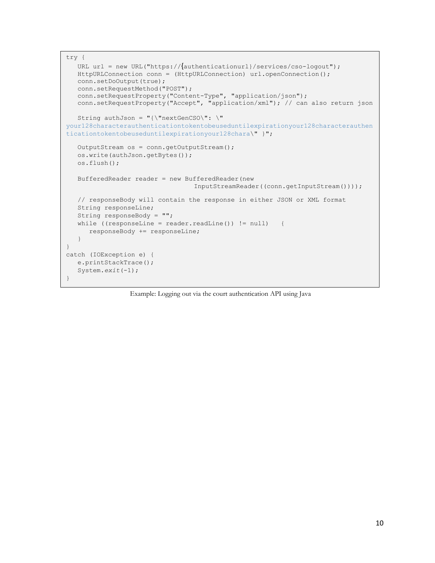```
try {
   URL url = new URL("https://{authenticationurl}/services/cso-logout");
   HttpURLConnection conn = (HttpURLConnection) url.openConnection();
   conn.setDoOutput(true);
   conn.setRequestMethod("POST");
   conn.setRequestProperty("Content-Type", "application/json");
    conn.setRequestProperty("Accept", "application/xml"); // can also return json
    String authJson = "{\"nextGenCSO\": \"
your128characterauthenticationtokentobeuseduntilexpirationyour128characterauthen
ticationtokentobeuseduntilexpirationyour128chara\" }";
    OutputStream os = conn.getOutputStream();
   os.write(authJson.getBytes());
   os.flush();
   BufferedReader reader = new BufferedReader(new
                                  InputStreamReader((conn.getInputStream())));
   // responseBody will contain the response in either JSON or XML format
   String responseLine;
   String responseBody = "";
   while ((responseLine = reader.readLine()) != null) {
       responseBody += responseLine;
 }
}
catch (IOException e) {
   e.printStackTrace();
   System.exit(-1);
}
```
Example: Logging out via the court authentication API using Java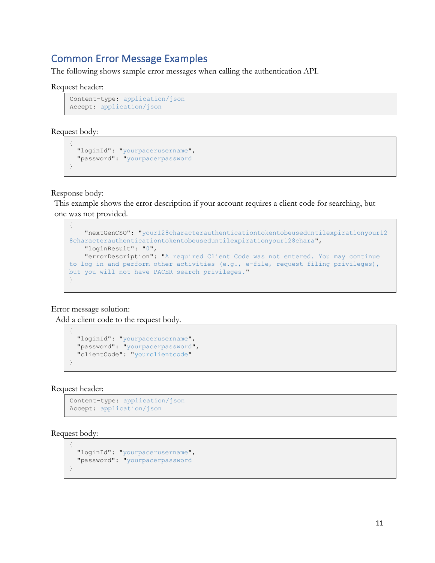## <span id="page-10-0"></span>Common Error Message Examples

The following shows sample error messages when calling the authentication API.

#### Request header:

```
Content-type: application/json
Accept: application/json
```
Request body:

```
{
   "loginId": "yourpacerusername",
   "password": "yourpacerpassword
}
```
Response body:

This example shows the error description if your account requires a client code for searching, but one was not provided.

```
{
     "nextGenCSO": "your128characterauthenticationtokentobeuseduntilexpirationyour12
8characterauthenticationtokentobeuseduntilexpirationyour128chara",
     "loginResult": "0",
     "errorDescription": "A required Client Code was not entered. You may continue 
to log in and perform other activities (e.g., e-file, request filing privileges),
but you will not have PACER search privileges."
}
```
Error message solution:

Add a client code to the request body.

```
 "loginId": "yourpacerusername",
 "password": "yourpacerpassword",
 "clientCode": "yourclientcode"
```
Request header:

{

}

```
Content-type: application/json
Accept: application/json
```
Request body:

```
{
   "loginId": "yourpacerusername",
   "password": "yourpacerpassword
}
```